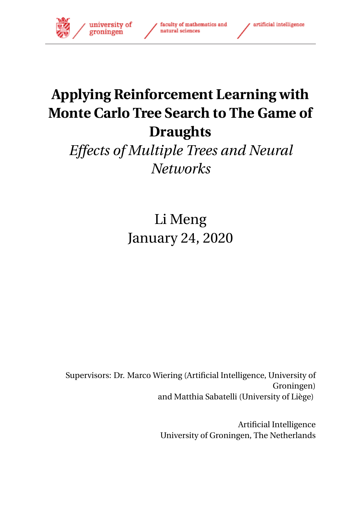

# **Applying Reinforcement Learning with Monte Carlo Tree Search to The Game of Draughts**

## *Effects of Multiple Trees and Neural Networks*

Li Meng January 24, 2020

Supervisors: Dr. Marco Wiering (Artificial Intelligence, University of Groningen) and Matthia Sabatelli (University of Liège)

> Artificial Intelligence University of Groningen, The Netherlands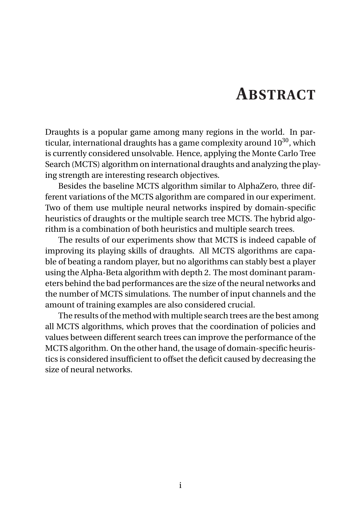### **ABSTRACT**

<span id="page-1-0"></span>Draughts is a popular game among many regions in the world. In particular, international draughts has a game complexity around  $10^{30}$ , which is currently considered unsolvable. Hence, applying the Monte Carlo Tree Search (MCTS) algorithm on international draughts and analyzing the playing strength are interesting research objectives.

Besides the baseline MCTS algorithm similar to AlphaZero, three different variations of the MCTS algorithm are compared in our experiment. Two of them use multiple neural networks inspired by domain-specific heuristics of draughts or the multiple search tree MCTS. The hybrid algorithm is a combination of both heuristics and multiple search trees.

The results of our experiments show that MCTS is indeed capable of improving its playing skills of draughts. All MCTS algorithms are capable of beating a random player, but no algorithms can stably best a player using the Alpha-Beta algorithm with depth 2. The most dominant parameters behind the bad performances are the size of the neural networks and the number of MCTS simulations. The number of input channels and the amount of training examples are also considered crucial.

The results of the method with multiple search trees are the best among all MCTS algorithms, which proves that the coordination of policies and values between different search trees can improve the performance of the MCTS algorithm. On the other hand, the usage of domain-specific heuristics is considered insufficient to offset the deficit caused by decreasing the size of neural networks.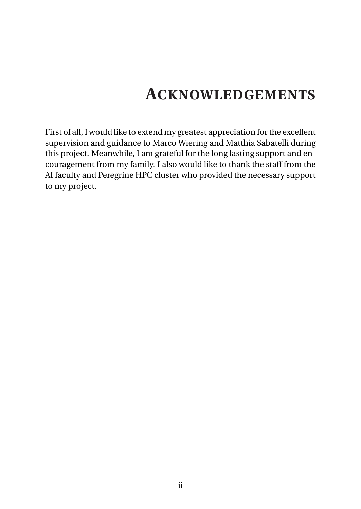# **ACKNOWLEDGEMENTS**

<span id="page-2-0"></span>First of all, I would like to extend my greatest appreciation for the excellent supervision and guidance to Marco Wiering and Matthia Sabatelli during this project. Meanwhile, I am grateful for the long lasting support and encouragement from my family. I also would like to thank the staff from the AI faculty and Peregrine HPC cluster who provided the necessary support to my project.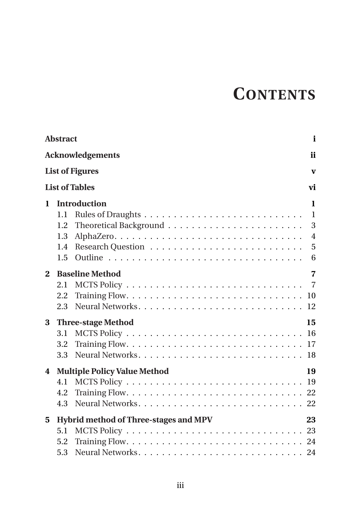# **CONTENTS**

|              | <b>Abstract</b>                                                  | i                                                             |
|--------------|------------------------------------------------------------------|---------------------------------------------------------------|
|              | <b>Acknowledgements</b>                                          | ii                                                            |
|              | <b>List of Figures</b>                                           | $\mathbf{V}$                                                  |
|              | <b>List of Tables</b>                                            | vi                                                            |
| $\mathbf{1}$ | <b>Introduction</b><br>1.1<br>1.2<br>1.3<br>1.4<br>1.5           | $\mathbf{1}$<br>$\mathbf{1}$<br>3<br>$\overline{4}$<br>5<br>6 |
| $\mathbf{2}$ | <b>Baseline Method</b><br>2.1<br>2.2<br>2.3                      | $\overline{7}$                                                |
| 3            | <b>Three-stage Method</b><br>15<br>3.1<br>3.2<br>3.3             |                                                               |
| 4            | <b>Multiple Policy Value Method</b><br>19<br>4.1<br>4.2<br>4.3   |                                                               |
| 5            | Hybrid method of Three-stages and MPV<br>23<br>5.1<br>5.2<br>5.3 |                                                               |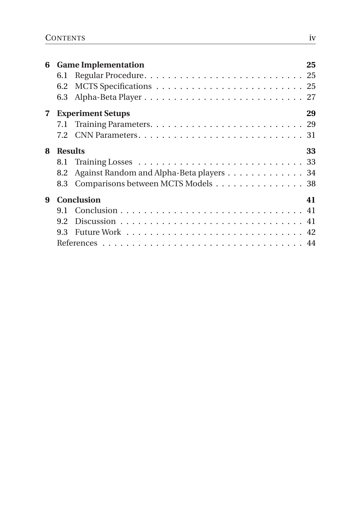| 6           | 6.1<br>6.2<br>6.3                   | <b>Game Implementation</b>                                                     | 25 |
|-------------|-------------------------------------|--------------------------------------------------------------------------------|----|
| $\mathbf 7$ | 7.1                                 | <b>Experiment Setups</b>                                                       | 29 |
| 8           | <b>Results</b><br>8.1<br>8.2<br>8.3 | Against Random and Alpha-Beta players 34<br>Comparisons between MCTS Models 38 | 33 |
| 9           | 9.1<br>9.2<br>9.3                   | <b>Conclusion</b>                                                              | 41 |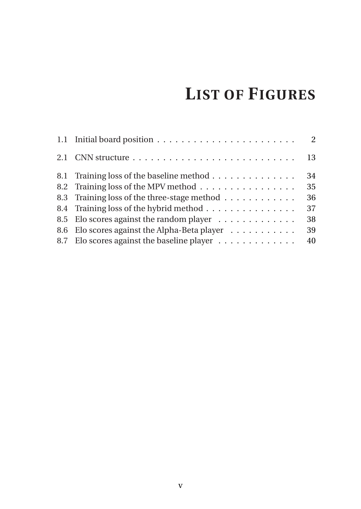# **LIST OF FIGURES**

<span id="page-5-0"></span>

| 2.1 CNN structure $\ldots \ldots \ldots \ldots \ldots \ldots \ldots \ldots$ | 13 |
|-----------------------------------------------------------------------------|----|
| 8.1 Training loss of the baseline method                                    | 34 |
| 8.2 Training loss of the MPV method                                         | 35 |
| 8.3 Training loss of the three-stage method                                 | 36 |
| 8.4 Training loss of the hybrid method                                      | 37 |
| 8.5 Elo scores against the random player                                    | 38 |
| 8.6 Elo scores against the Alpha-Beta player                                | 39 |
| 8.7 Elo scores against the baseline player                                  | 40 |
|                                                                             |    |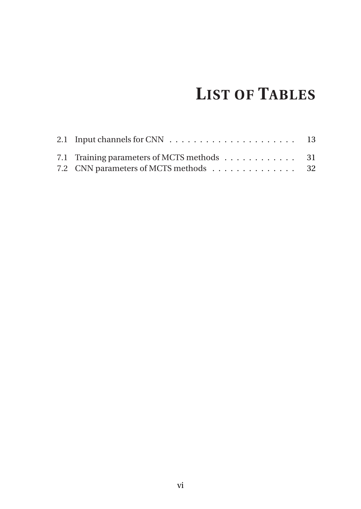# **LIST OF TABLES**

<span id="page-6-0"></span>

| 7.1 Training parameters of MCTS methods 31<br>7.2 CNN parameters of MCTS methods 32 |  |
|-------------------------------------------------------------------------------------|--|
|                                                                                     |  |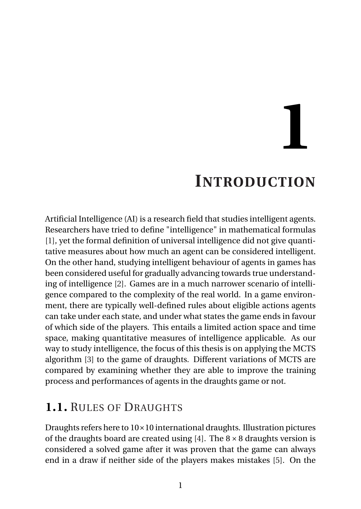**1**

# **INTRODUCTION**

<span id="page-7-0"></span>Artificial Intelligence (AI) is a research field that studies intelligent agents. Researchers have tried to define "intelligence" in mathematical formulas [\[1\]](#page-50-0), yet the formal definition of universal intelligence did not give quantitative measures about how much an agent can be considered intelligent. On the other hand, studying intelligent behaviour of agents in games has been considered useful for gradually advancing towards true understanding of intelligence [\[2\]](#page-50-1). Games are in a much narrower scenario of intelligence compared to the complexity of the real world. In a game environment, there are typically well-defined rules about eligible actions agents can take under each state, and under what states the game ends in favour of which side of the players. This entails a limited action space and time space, making quantitative measures of intelligence applicable. As our way to study intelligence, the focus of this thesis is on applying the MCTS algorithm [\[3\]](#page-50-2) to the game of draughts. Different variations of MCTS are compared by examining whether they are able to improve the training process and performances of agents in the draughts game or not.

#### <span id="page-7-1"></span>**1.1.** RULES OF DRAUGHTS

Draughts refers here to 10×10 international draughts. Illustration pictures of the draughts board are created using [\[4\]](#page-50-3). The  $8 \times 8$  draughts version is considered a solved game after it was proven that the game can always end in a draw if neither side of the players makes mistakes [\[5\]](#page-50-4). On the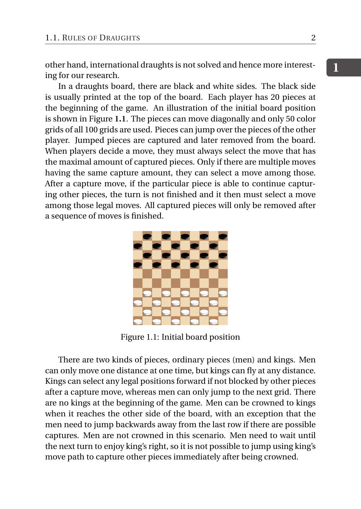other hand, international draughts is not solved and hence more interesting for our research.

In a draughts board, there are black and white sides. The black side is usually printed at the top of the board. Each player has 20 pieces at the beginning of the game. An illustration of the initial board position is shown in Figure **[1.1](#page-8-0)**. The pieces can move diagonally and only 50 color grids of all 100 grids are used. Pieces can jump over the pieces of the other player. Jumped pieces are captured and later removed from the board. When players decide a move, they must always select the move that has the maximal amount of captured pieces. Only if there are multiple moves having the same capture amount, they can select a move among those. After a capture move, if the particular piece is able to continue capturing other pieces, the turn is not finished and it then must select a move among those legal moves. All captured pieces will only be removed after a sequence of moves is finished.

<span id="page-8-0"></span>

Figure 1.1: Initial board position

There are two kinds of pieces, ordinary pieces (men) and kings. Men can only move one distance at one time, but kings can fly at any distance. Kings can select any legal positions forward if not blocked by other pieces after a capture move, whereas men can only jump to the next grid. There are no kings at the beginning of the game. Men can be crowned to kings when it reaches the other side of the board, with an exception that the men need to jump backwards away from the last row if there are possible captures. Men are not crowned in this scenario. Men need to wait until the next turn to enjoy king's right, so it is not possible to jump using king's move path to capture other pieces immediately after being crowned.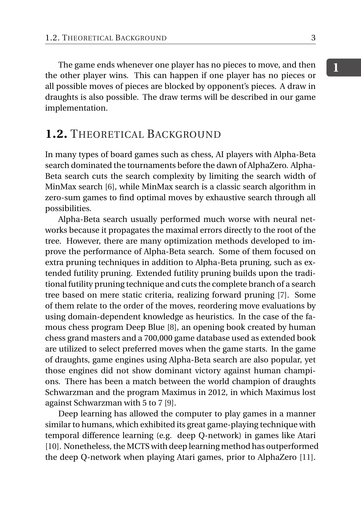The game ends whenever one player has no pieces to move, and then the other player wins. This can happen if one player has no pieces or all possible moves of pieces are blocked by opponent's pieces. A draw in draughts is also possible. The draw terms will be described in our game implementation.

#### <span id="page-9-0"></span>**1.2.** THEORETICAL BACKGROUND

In many types of board games such as chess, AI players with Alpha-Beta search dominated the tournaments before the dawn of AlphaZero. Alpha-Beta search cuts the search complexity by limiting the search width of MinMax search [\[6\]](#page-50-5), while MinMax search is a classic search algorithm in zero-sum games to find optimal moves by exhaustive search through all possibilities.

Alpha-Beta search usually performed much worse with neural networks because it propagates the maximal errors directly to the root of the tree. However, there are many optimization methods developed to improve the performance of Alpha-Beta search. Some of them focused on extra pruning techniques in addition to Alpha-Beta pruning, such as extended futility pruning. Extended futility pruning builds upon the traditional futility pruning technique and cuts the complete branch of a search tree based on mere static criteria, realizing forward pruning [\[7\]](#page-50-6). Some of them relate to the order of the moves, reordering move evaluations by using domain-dependent knowledge as heuristics. In the case of the famous chess program Deep Blue [\[8\]](#page-50-7), an opening book created by human chess grand masters and a 700,000 game database used as extended book are utilized to select preferred moves when the game starts. In the game of draughts, game engines using Alpha-Beta search are also popular, yet those engines did not show dominant victory against human champions. There has been a match between the world champion of draughts Schwarzman and the program Maximus in 2012, in which Maximus lost against Schwarzman with 5 to 7 [\[9\]](#page-50-8).

Deep learning has allowed the computer to play games in a manner similar to humans, which exhibited its great game-playing technique with temporal difference learning (e.g. deep Q-network) in games like Atari [\[10\]](#page-50-9). Nonetheless, the MCTS with deep learning method has outperformed the deep Q-network when playing Atari games, prior to AlphaZero [\[11\]](#page-50-10).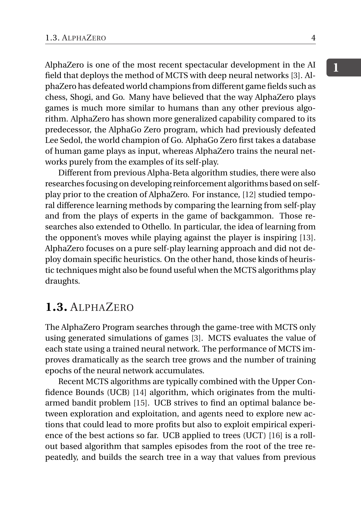AlphaZero is one of the most recent spectacular development in the AI field that deploys the method of MCTS with deep neural networks [\[3\]](#page-50-2). AlphaZero has defeated world champions from different game fields such as chess, Shogi, and Go. Many have believed that the way AlphaZero plays games is much more similar to humans than any other previous algorithm. AlphaZero has shown more generalized capability compared to its predecessor, the AlphaGo Zero program, which had previously defeated Lee Sedol, the world champion of Go. AlphaGo Zero first takes a database of human game plays as input, whereas AlphaZero trains the neural networks purely from the examples of its self-play.

Different from previous Alpha-Beta algorithm studies, there were also researches focusing on developing reinforcement algorithms based on selfplay prior to the creation of AlphaZero. For instance, [\[12\]](#page-50-11) studied temporal difference learning methods by comparing the learning from self-play and from the plays of experts in the game of backgammon. Those researches also extended to Othello. In particular, the idea of learning from the opponent's moves while playing against the player is inspiring [\[13\]](#page-51-0). AlphaZero focuses on a pure self-play learning approach and did not deploy domain specific heuristics. On the other hand, those kinds of heuristic techniques might also be found useful when the MCTS algorithms play draughts.

#### <span id="page-10-0"></span>**1.3.** ALPHAZERO

The AlphaZero Program searches through the game-tree with MCTS only using generated simulations of games [\[3\]](#page-50-2). MCTS evaluates the value of each state using a trained neural network. The performance of MCTS improves dramatically as the search tree grows and the number of training epochs of the neural network accumulates.

Recent MCTS algorithms are typically combined with the Upper Confidence Bounds (UCB) [\[14\]](#page-51-1) algorithm, which originates from the multiarmed bandit problem [\[15\]](#page-51-2). UCB strives to find an optimal balance between exploration and exploitation, and agents need to explore new actions that could lead to more profits but also to exploit empirical experience of the best actions so far. UCB applied to trees (UCT) [\[16\]](#page-51-3) is a rollout based algorithm that samples episodes from the root of the tree repeatedly, and builds the search tree in a way that values from previous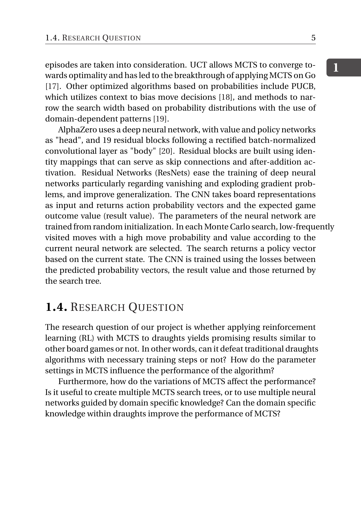episodes are taken into consideration. UCT allows MCTS to converge towards optimality and has led to the breakthrough of applying MCTS on Go [\[17\]](#page-51-4). Other optimized algorithms based on probabilities include PUCB, which utilizes context to bias move decisions [\[18\]](#page-51-5), and methods to narrow the search width based on probability distributions with the use of domain-dependent patterns [\[19\]](#page-51-6).

AlphaZero uses a deep neural network, with value and policy networks as "head", and 19 residual blocks following a rectified batch-normalized convolutional layer as "body" [\[20\]](#page-51-7). Residual blocks are built using identity mappings that can serve as skip connections and after-addition activation. Residual Networks (ResNets) ease the training of deep neural networks particularly regarding vanishing and exploding gradient problems, and improve generalization. The CNN takes board representations as input and returns action probability vectors and the expected game outcome value (result value). The parameters of the neural network are trained from random initialization. In each Monte Carlo search, low-frequently visited moves with a high move probability and value according to the current neural network are selected. The search returns a policy vector based on the current state. The CNN is trained using the losses between the predicted probability vectors, the result value and those returned by the search tree.

#### <span id="page-11-0"></span>**1.4.** RESEARCH QUESTION

The research question of our project is whether applying reinforcement learning (RL) with MCTS to draughts yields promising results similar to other board games or not. In other words, can it defeat traditional draughts algorithms with necessary training steps or not? How do the parameter settings in MCTS influence the performance of the algorithm?

<span id="page-11-1"></span>Furthermore, how do the variations of MCTS affect the performance? Is it useful to create multiple MCTS search trees, or to use multiple neural networks guided by domain specific knowledge? Can the domain specific knowledge within draughts improve the performance of MCTS?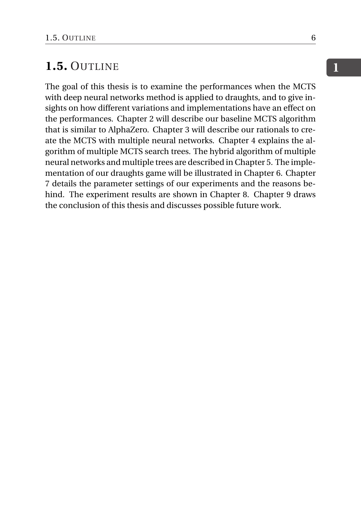#### **1.5.** OUTLINE

The goal of this thesis is to examine the performances when the MCTS with deep neural networks method is applied to draughts, and to give insights on how different variations and implementations have an effect on the performances. Chapter 2 will describe our baseline MCTS algorithm that is similar to AlphaZero. Chapter 3 will describe our rationals to create the MCTS with multiple neural networks. Chapter 4 explains the algorithm of multiple MCTS search trees. The hybrid algorithm of multiple neural networks and multiple trees are described in Chapter 5. The implementation of our draughts game will be illustrated in Chapter 6. Chapter 7 details the parameter settings of our experiments and the reasons behind. The experiment results are shown in Chapter 8. Chapter 9 draws the conclusion of this thesis and discusses possible future work.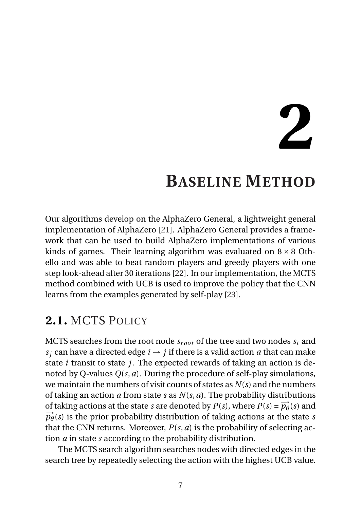**2**

### **BASELINE METHOD**

<span id="page-13-0"></span>Our algorithms develop on the AlphaZero General, a lightweight general implementation of AlphaZero [\[21\]](#page-51-8). AlphaZero General provides a framework that can be used to build AlphaZero implementations of various kinds of games. Their learning algorithm was evaluated on  $8 \times 8$  Othello and was able to beat random players and greedy players with one step look-ahead after 30 iterations [\[22\]](#page-51-9). In our implementation, the MCTS method combined with UCB is used to improve the policy that the CNN learns from the examples generated by self-play [\[23\]](#page-51-10).

#### <span id="page-13-1"></span>**2.1.** MCTS POLICY

MCTS searches from the root node  $s_{root}$  of the tree and two nodes  $s_i$  and *s*<sup>*j*</sup> can have a directed edge  $i \rightarrow j$  if there is a valid action *a* that can make state *i* transit to state *j*. The expected rewards of taking an action is denoted by Q-values *Q*(*s*,*a*). During the procedure of self-play simulations, we maintain the numbers of visit counts of states as *N*(*s*) and the numbers of taking an action *a* from state *s* as *N*(*s*,*a*). The probability distributions of taking actions at the state *s* are denoted by  $P(s)$ , where  $P(s) = \overrightarrow{p_{\theta}}(s)$  and  $\vec{p}_{\theta}(s)$  is the prior probability distribution of taking actions at the state *s* that the CNN returns. Moreover,  $P(s, a)$  is the probability of selecting action *a* in state *s* according to the probability distribution.

The MCTS search algorithm searches nodes with directed edges in the search tree by repeatedly selecting the action with the highest UCB value.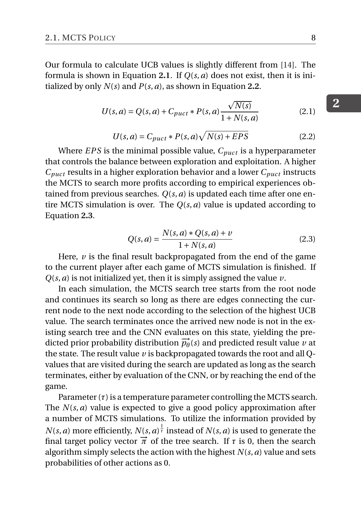Our formula to calculate UCB values is slightly different from [\[14\]](#page-51-1). The formula is shown in Equation **[2.1](#page-14-0)**. If *Q*(*s*,*a*) does not exist, then it is initialized by only *N*(*s*) and *P*(*s*,*a*), as shown in Equation **[2.2](#page-14-1)**.

<span id="page-14-0"></span>
$$
U(s, a) = Q(s, a) + C_{puct} * P(s, a) \frac{\sqrt{N(s)}}{1 + N(s, a)}
$$
(2.1)

<span id="page-14-1"></span>
$$
U(s,a) = C_{puct} * P(s,a)\sqrt{N(s) + EPS}
$$
\n(2.2)

Where *EPS* is the minimal possible value,  $C_{\text{prec}}$  is a hyperparameter that controls the balance between exploration and exploitation. A higher  $C_{\text{puct}}$  results in a higher exploration behavior and a lower  $C_{\text{puct}}$  instructs the MCTS to search more profits according to empirical experiences obtained from previous searches. *Q*(*s*,*a*) is updated each time after one entire MCTS simulation is over. The *Q*(*s*,*a*) value is updated according to Equation **[2.3](#page-14-2)**.

<span id="page-14-2"></span>
$$
Q(s, a) = \frac{N(s, a) * Q(s, a) + \nu}{1 + N(s, a)}
$$
(2.3)

Here, *v* is the final result backpropagated from the end of the game to the current player after each game of MCTS simulation is finished. If *Q*(*s*,*a*) is not initialized yet, then it is simply assigned the value *v*.

In each simulation, the MCTS search tree starts from the root node and continues its search so long as there are edges connecting the current node to the next node according to the selection of the highest UCB value. The search terminates once the arrived new node is not in the existing search tree and the CNN evaluates on this state, yielding the predicted prior probability distribution  $\overrightarrow{p_{\theta}}(s)$  and predicted result value *v* at the state. The result value *v* is backpropagated towards the root and all Qvalues that are visited during the search are updated as long as the search terminates, either by evaluation of the CNN, or by reaching the end of the game.

Parameter  $(\tau)$  is a temperature parameter controlling the MCTS search. The *N*(*s*,*a*) value is expected to give a good policy approximation after a number of MCTS simulations. To utilize the information provided by *N*(*s*, *a*) more efficiently, *N*(*s*, *a*)  $^{\frac{1}{\tau}}$  instead of *N*(*s*, *a*) is used to generate the final target policy vector  $\vec{\pi}$  of the tree search. If  $\tau$  is 0, then the search algorithm simply selects the action with the highest *N*(*s*,*a*) value and sets probabilities of other actions as 0.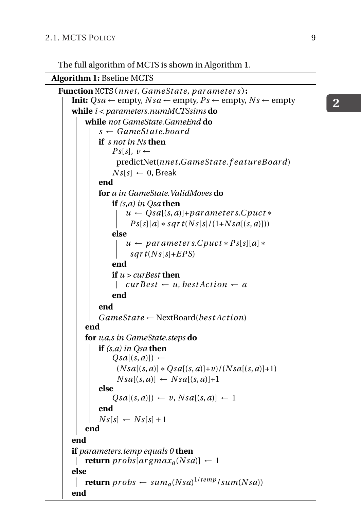The full algorithm of MCTS is shown in Algorithm **[1](#page-15-1)**.

<span id="page-15-1"></span>**Algorithm 1:** Bseline MCTS

```
Function MCTS(nne t, GameSt ate, par ame ter s):
    Init: Qsa \leftarrow \text{empty}, \, \text{Ns}a \leftarrow \text{empty}, \, \text{Ps} \leftarrow \text{empty}, \, \text{Ns} \leftarrow \text{empty}while i < parameters.numMCTSsims do
        while not GameState.GameEnd do
            s ← GameSt ate.boar d
            if s not in Ns then
                Ps[s], v ←
                  predictNet(nne t,GameSt ate.f eatur eB oard)
                Ns[s] \leftarrow 0, Break
            end
            for a in GameState.ValidMoves do
                if (s,a) in Qsa then
                     u \leftarrow Qsa[(s,a)] + parameter s.Cput*Ps[s][a] * sqrt(Ns[s]/(1+Nsa[(s,a)]))else
                     u ← parameters.Cpuct * Ps[s][a] *
                      sqrt(Ns[s]+EPS)end
                if u > curBest then
                  \vert cur Best \leftarrow u, best Action \leftarrow aend
            end
            GameSt ate ← NextBoard(best Ac t i on)
        end
        for v,a,s in GameState.steps do
            if (s,a) in Qsa then
                Qsa[(s, a)]) ←
                  (Nsa[(s, a)] * Qsa[(s, a)] + v)/(Nsa[(s, a)] + 1)Nsa[(s, a)] \leftarrow Nsa[(s, a)]+1else
             |Qsa[(s, a)] \leftarrow v, Nsa[(s, a)] \leftarrow 1end
            Ns[s] \leftarrow Ns[s]+1end
    end
    if parameters.temp equals 0 then
     | return probs[argmax_a(Nsa)] \leftarrow 1else
        \textbf{return } \textit{probs} \leftarrow \textit{sum}_{a}(Nsa)^{1/temp}/sum(Nsa)end
```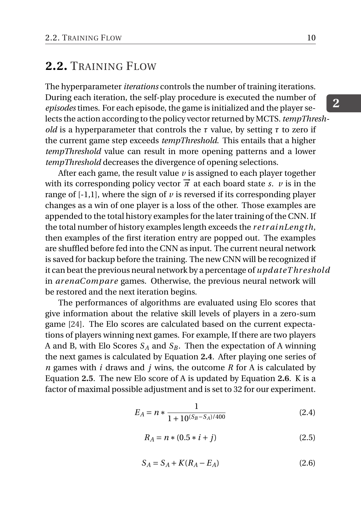#### **2.2.** TRAINING FLOW

The hyperparameter *iterations* controls the number of training iterations. During each iteration, the self-play procedure is executed the number of *episodes* times. For each episode, the game is initialized and the player selects the action according to the policy vector returned by MCTS. *tempThreshold* is a hyperparameter that controls the *τ* value, by setting *τ* to zero if the current game step exceeds *tempThreshold*. This entails that a higher *tempThreshold* value can result in more opening patterns and a lower *tempThreshold* decreases the divergence of opening selections.

After each game, the result value *v* is assigned to each player together with its corresponding policy vector  $\vec{\pi}$  at each board state *s*. *v* is in the range of  $[-1,1]$ , where the sign of  $\nu$  is reversed if its corresponding player changes as a win of one player is a loss of the other. Those examples are appended to the total history examples for the later training of the CNN. If the total number of history examples length exceeds the *r e t r ainLeng th*, then examples of the first iteration entry are popped out. The examples are shuffled before fed into the CNN as input. The current neural network is saved for backup before the training. The new CNN will be recognized if it can beat the previous neural network by a percentage of *upd ateT hr eshold* in *arenaCompare* games. Otherwise, the previous neural network will be restored and the next iteration begins.

The performances of algorithms are evaluated using Elo scores that give information about the relative skill levels of players in a zero-sum game [\[24\]](#page-52-0). The Elo scores are calculated based on the current expectations of players winning next games. For example, If there are two players A and B, with Elo Scores  $S_A$  and  $S_B$ . Then the expectation of A winning the next games is calculated by Equation **[2.4](#page-16-0)**. After playing one series of *n* games with *i* draws and *j* wins, the outcome *R* for A is calculated by Equation **[2.5](#page-16-1)**. The new Elo score of A is updated by Equation **[2.6](#page-16-2)**. K is a factor of maximal possible adjustment and is set to 32 for our experiment.

<span id="page-16-0"></span>
$$
E_A = n * \frac{1}{1 + 10^{(S_B - S_A)/400}}\tag{2.4}
$$

<span id="page-16-1"></span>
$$
R_A = n * (0.5 * i + j)
$$
 (2.5)

<span id="page-16-2"></span>
$$
S_A = S_A + K(R_A - E_A) \tag{2.6}
$$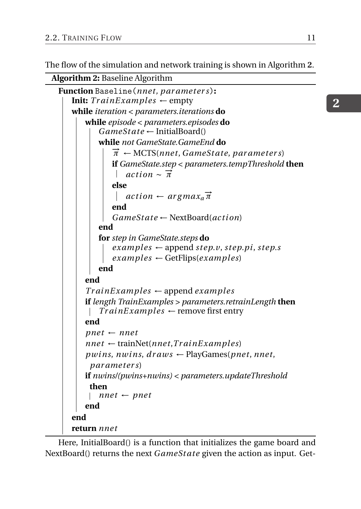The flow of the simulation and network training is shown in Algorithm **[2](#page-17-0)**.

<span id="page-17-0"></span>**Algorithm 2:** Baseline Algorithm

```
Function Baseline(nne t, par ame ter s):
   Init: TrainExamples \leftarrow emptywhile iteration < parameters.iterations do
       while episode < parameters.episodes do
           GameSt ate ← InitialBoard()
          while not GameState.GameEnd do
              −→π ← MCTS(nne t, GameSt ate, par ame ter s)
              if GameState.step < parameters.tempThreshold then
                  \arctan \frac{1}{\pi}else
                  action ← argmax<sub>a</sub>π
              end
              GameSt ate ← NextBoard(ac t i on)
          end
          for step in GameState.steps do
              \ellexamples \leftarrow append step.v, step.pi, step.s
              examples ← GetFlips(examples)
          end
       end
       Tr ainE xamples ← append examples
       if length TrainExamples > parameters.retrainLength then
           TrainExamples \leftarrow remove first entry
       end
       pnet \leftarrow nnetnnet \leftarrow trainNet(nnet, TrainExamples)pwins, nwins, draws \leftarrow PlayGames(pnet, nnet)
        par ame ter s)
       if nwins/(pwins+nwins) < parameters.updateThreshold
        then
          nnnet ← pnet
       end
   end
   return nne t
```
Here, InitialBoard() is a function that initializes the game board and NextBoard() returns the next *GameSt ate* given the action as input. Get-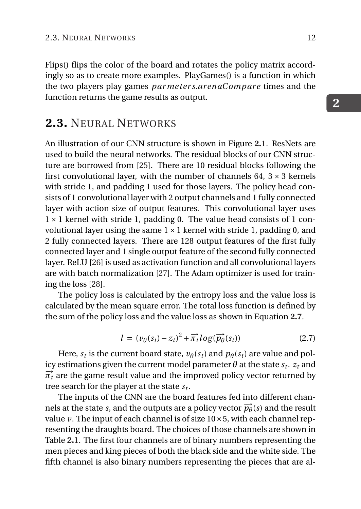Flips() flips the color of the board and rotates the policy matrix accordingly so as to create more examples. PlayGames() is a function in which the two players play games *par meter s.arenaCompare* times and the function returns the game results as output.

#### <span id="page-18-0"></span>**2.3.** NEURAL NETWORKS

An illustration of our CNN structure is shown in Figure **[2.1](#page-19-0)**. ResNets are used to build the neural networks. The residual blocks of our CNN structure are borrowed from [\[25\]](#page-52-1). There are 10 residual blocks following the first convolutional layer, with the number of channels 64,  $3 \times 3$  kernels with stride 1, and padding 1 used for those layers. The policy head consists of 1 convolutional layer with 2 output channels and 1 fully connected layer with action size of output features. This convolutional layer uses  $1 \times 1$  kernel with stride 1, padding 0. The value head consists of 1 convolutional layer using the same  $1 \times 1$  kernel with stride 1, padding 0, and 2 fully connected layers. There are 128 output features of the first fully connected layer and 1 single output feature of the second fully connected layer. ReLU [\[26\]](#page-52-2) is used as activation function and all convolutional layers are with batch normalization [\[27\]](#page-52-3). The Adam optimizer is used for training the loss [\[28\]](#page-52-4).

The policy loss is calculated by the entropy loss and the value loss is calculated by the mean square error. The total loss function is defined by the sum of the policy loss and the value loss as shown in Equation **[2.7](#page-18-1)**.

<span id="page-18-1"></span>
$$
l = (v_{\theta}(s_t) - z_t)^2 + \overrightarrow{\pi_t} \log(\overrightarrow{p_{\theta}}(s_t))
$$
 (2.7)

Here,  $s_t$  is the current board state,  $v_{\theta}(s_t)$  and  $p_{\theta}(s_t)$  are value and pol- $\mathop{\rm i\hspace{0.3mm}c}$  restimations given the current model parameter  $\theta$  at the state  $s_t.$   $z_t$  and  $\vec{\pi}_t$  are the game result value and the improved policy vector returned by tree search for the player at the state *s<sup>t</sup>* .

The inputs of the CNN are the board features fed into different channels at the state *s*, and the outputs are a policy vector  $\overrightarrow{p_{\theta}}(s)$  and the result value  $\nu$ . The input of each channel is of size  $10 \times 5$ , with each channel representing the draughts board. The choices of those channels are shown in Table **[2.1](#page-19-1)**. The first four channels are of binary numbers representing the men pieces and king pieces of both the black side and the white side. The fifth channel is also binary numbers representing the pieces that are al-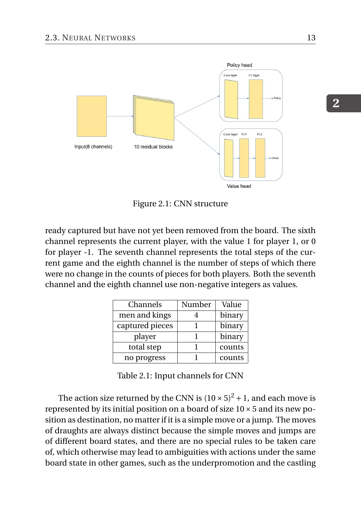<span id="page-19-0"></span>

Figure 2.1: CNN structure

ready captured but have not yet been removed from the board. The sixth channel represents the current player, with the value 1 for player 1, or 0 for player -1. The seventh channel represents the total steps of the current game and the eighth channel is the number of steps of which there were no change in the counts of pieces for both players. Both the seventh channel and the eighth channel use non-negative integers as values.

<span id="page-19-1"></span>

| Channels        | Number | Value  |
|-----------------|--------|--------|
| men and kings   |        | binary |
| captured pieces |        | binary |
| player          |        | binary |
| total step      |        | counts |
| no progress     |        | counts |

Table 2.1: Input channels for CNN

The action size returned by the CNN is  $(10 \times 5)^2 + 1$ , and each move is represented by its initial position on a board of size  $10 \times 5$  and its new position as destination, no matter if it is a simple move or a jump. The moves of draughts are always distinct because the simple moves and jumps are of different board states, and there are no special rules to be taken care of, which otherwise may lead to ambiguities with actions under the same board state in other games, such as the underpromotion and the castling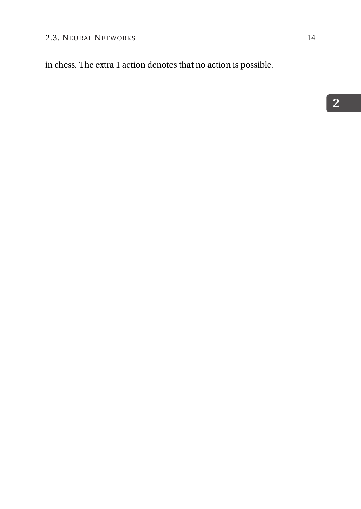in chess. The extra 1 action denotes that no action is possible.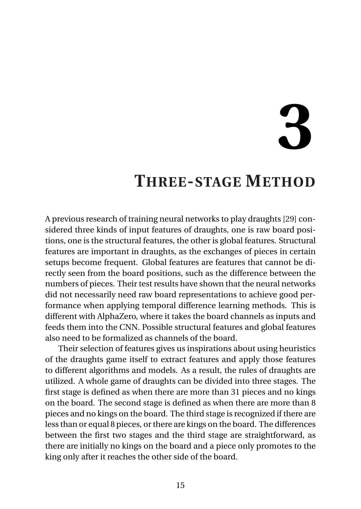# **3**

## <span id="page-21-0"></span>**THREE-STAGE METHOD**

A previous research of training neural networks to play draughts [\[29\]](#page-52-5) considered three kinds of input features of draughts, one is raw board positions, one is the structural features, the other is global features. Structural features are important in draughts, as the exchanges of pieces in certain setups become frequent. Global features are features that cannot be directly seen from the board positions, such as the difference between the numbers of pieces. Their test results have shown that the neural networks did not necessarily need raw board representations to achieve good performance when applying temporal difference learning methods. This is different with AlphaZero, where it takes the board channels as inputs and feeds them into the CNN. Possible structural features and global features also need to be formalized as channels of the board.

Their selection of features gives us inspirations about using heuristics of the draughts game itself to extract features and apply those features to different algorithms and models. As a result, the rules of draughts are utilized. A whole game of draughts can be divided into three stages. The first stage is defined as when there are more than 31 pieces and no kings on the board. The second stage is defined as when there are more than 8 pieces and no kings on the board. The third stage is recognized if there are less than or equal 8 pieces, or there are kings on the board. The differences between the first two stages and the third stage are straightforward, as there are initially no kings on the board and a piece only promotes to the king only after it reaches the other side of the board.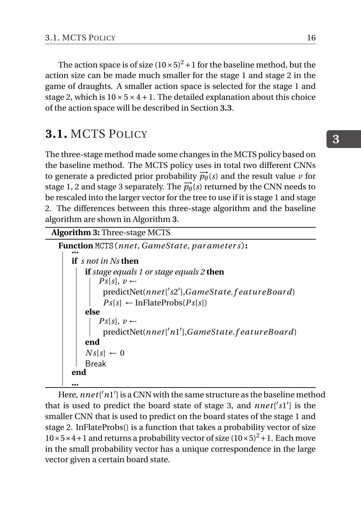The action space is of size  $(10 \times 5)^2 + 1$  for the baseline method, but the action size can be made much smaller for the stage 1 and stage 2 in the game of draughts. A smaller action space is selected for the stage 1 and stage 2, which is  $10 \times 5 \times 4 + 1$ . The detailed explanation about this choice of the action space will be described in Section **[3.3](#page-24-0)**.

#### <span id="page-22-0"></span>**3.1.** MCTS POLICY

The three-stage method made some changes in the MCTS policy based on the baseline method. The MCTS policy uses in total two different CNNs to generate a predicted prior probability  $\vec{p}_{\theta}(s)$  and the result value *v* for stage 1, 2 and stage 3 separately. The  $\vec{p}_{\theta}(s)$  returned by the CNN needs to be rescaled into the larger vector for the tree to use if it is stage 1 and stage 2. The differences between this three-stage algorithm and the baseline algorithm are shown in Algorithm **[3](#page-22-2)**.

<span id="page-22-2"></span>**Algorithm 3:** Three-stage MCTS

```
Function MCTS(nnet, GameState, parameters):<br>|.....
   if s not in Ns then
       if stage equals 1 or stage equals 2 then
            Ps[s], v \leftarrowpredictNet(nne t[
0
s2
0
],GameSt ate.f eatur eB oard)
             Ps[s] \leftarrow InFlateProbs(Ps[s])else
            Ps[s], v ←
             predictNet(nne t[
0n1
0
],GameSt ate.f eatur eB oard)
        end
       Ns[s] \leftarrow 0Break
   end
    ...
```
<span id="page-22-1"></span>Here,  $nnet['n1']$  is a CNN with the same structure as the baseline method that is used to predict the board state of stage 3, and *nnet*['s1'] is the smaller CNN that is used to predict on the board states of the stage 1 and stage 2. InFlateProbs() is a function that takes a probability vector of size  $10\times5\times4+1$  and returns a probability vector of size  $(10\times5)^2+1$ . Each move in the small probability vector has a unique correspondence in the large vector given a certain board state.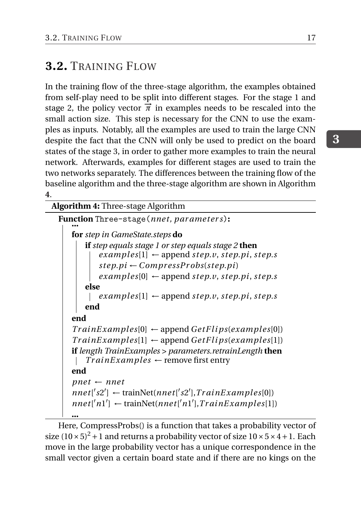#### **3.2.** TRAINING FLOW

In the training flow of the three-stage algorithm, the examples obtained from self-play need to be split into different stages. For the stage 1 and stage 2, the policy vector  $\vec{\pi}$  in examples needs to be rescaled into the small action size. This step is necessary for the CNN to use the examples as inputs. Notably, all the examples are used to train the large CNN despite the fact that the CNN will only be used to predict on the board states of the stage 3, in order to gather more examples to train the neural network. Afterwards, examples for different stages are used to train the two networks separately. The differences between the training flow of the baseline algorithm and the three-stage algorithm are shown in Algorithm **[4](#page-23-0)**.

#### <span id="page-23-0"></span>**Algorithm 4:** Three-stage Algorithm

**Function** Three-stage(*nnet, par ameters*):<br>  $\cdot$ **for** *step in GameState.steps* **do if** *step equals stage 1 or step equals stage 2* **then**  $\{exp(1) \leftarrow \text{append step.} v, \text{step.} p \}$ , *step.s*  $step$ *.pi* ← *CompressProbs*(*step.pi*)  $\{exp(0) \leftarrow \text{append step.} v, \text{step.} pi, \text{step.} s$ **else**  $\{exp(x), step, step, p\}$  **f**  $\leq$  *examples*[1]  $\leftarrow$  append *step.v*, *step.pi*, *step.s* **end end**  $TrainExamples[0] \leftarrow append GetFlips(examples[0])$  $TrainExamples[1] \leftarrow append GetFlips(examples[1])$ **if** *length TrainExamples > parameters.retrainLength* **then**  $TrainExamples \leftarrow$  remove first entry **end**  $pnet \leftarrow nnet$ *nne t*[ 0 *s*2 0 ] ← trainNet(*nne t*[ 0 *s*2 0 ],*Tr ainE xamples*[0])  $nnet['n1'] \leftarrow trainNet(nnet['n1'],TrainExamples[1])$ **...**

Here, CompressProbs() is a function that takes a probability vector of size  $(10 \times 5)^2 + 1$  and returns a probability vector of size  $10 \times 5 \times 4 + 1$ . Each move in the large probability vector has a unique correspondence in the small vector given a certain board state and if there are no kings on the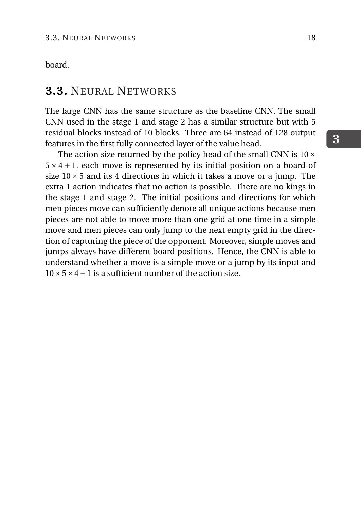<span id="page-24-0"></span>board.

#### **3.3.** NEURAL NETWORKS

The large CNN has the same structure as the baseline CNN. The small CNN used in the stage 1 and stage 2 has a similar structure but with 5 residual blocks instead of 10 blocks. Three are 64 instead of 128 output features in the first fully connected layer of the value head.

The action size returned by the policy head of the small CNN is  $10 \times$  $5 \times 4 + 1$ , each move is represented by its initial position on a board of size  $10 \times 5$  and its 4 directions in which it takes a move or a jump. The extra 1 action indicates that no action is possible. There are no kings in the stage 1 and stage 2. The initial positions and directions for which men pieces move can sufficiently denote all unique actions because men pieces are not able to move more than one grid at one time in a simple move and men pieces can only jump to the next empty grid in the direction of capturing the piece of the opponent. Moreover, simple moves and jumps always have different board positions. Hence, the CNN is able to understand whether a move is a simple move or a jump by its input and  $10 \times 5 \times 4 + 1$  is a sufficient number of the action size.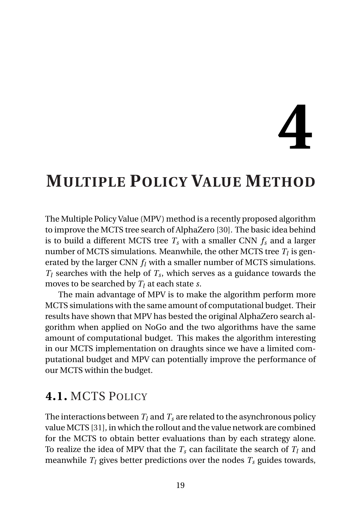# **4**

# <span id="page-25-0"></span>**MULTIPLE POLICY VALUE METHOD**

The Multiple Policy Value (MPV) method is a recently proposed algorithm to improve the MCTS tree search of AlphaZero [\[30\]](#page-52-6). The basic idea behind is to build a different MCTS tree  $T_s$  with a smaller CNN  $f_s$  and a larger number of MCTS simulations. Meanwhile, the other MCTS tree  $T_l$  is generated by the larger CNN *f<sup>l</sup>* with a smaller number of MCTS simulations.  $T_l$  searches with the help of  $T_s$ , which serves as a guidance towards the moves to be searched by *T<sup>l</sup>* at each state *s*.

The main advantage of MPV is to make the algorithm perform more MCTS simulations with the same amount of computational budget. Their results have shown that MPV has bested the original AlphaZero search algorithm when applied on NoGo and the two algorithms have the same amount of computational budget. This makes the algorithm interesting in our MCTS implementation on draughts since we have a limited computational budget and MPV can potentially improve the performance of our MCTS within the budget.

#### <span id="page-25-1"></span>**4.1.** MCTS POLICY

The interactions between  $T_l$  and  $T_s$  are related to the asynchronous policy value MCTS [\[31\]](#page-52-7), in which the rollout and the value network are combined for the MCTS to obtain better evaluations than by each strategy alone. To realize the idea of MPV that the  $T_s$  can facilitate the search of  $T_l$  and meanwhile  $T_l$  gives better predictions over the nodes  $T_s$  guides towards,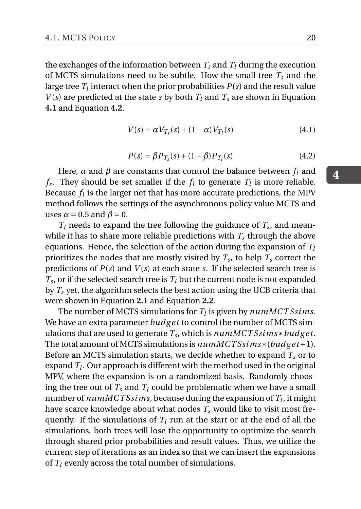the exchanges of the information between  $T_s$  and  $T_l$  during the execution of MCTS simulations need to be subtle. How the small tree  $T_s$  and the large tree  $T_l$  interact when the prior probabilities  $P(s)$  and the result value *V*(s) are predicted at the state *s* by both  $T_l$  and  $T_s$  are shown in Equation **[4.1](#page-26-0)** and Equation **[4.2](#page-26-1)**.

<span id="page-26-0"></span>
$$
V(s) = \alpha V_{T_s}(s) + (1 - \alpha)V_{T_l}(s)
$$
\n(4.1)

<span id="page-26-1"></span>
$$
P(s) = \beta P_{T_s}(s) + (1 - \beta) P_{T_l}(s)
$$
\n(4.2)

Here,  $\alpha$  and  $\beta$  are constants that control the balance between  $f_l$  and *f*<sub>*s*</sub>. They should be set smaller if the *f*<sub>*l*</sub> to generate *T*<sub>*l*</sub> is more reliable. Because  $f_l$  is the larger net that has more accurate predictions, the MPV method follows the settings of the asynchronous policy value MCTS and uses  $\alpha = 0.5$  and  $\beta = 0$ .

 $T_l$  needs to expand the tree following the guidance of  $T_s$ , and meanwhile it has to share more reliable predictions with  $T_s$  through the above equations. Hence, the selection of the action during the expansion of *T<sup>l</sup>* prioritizes the nodes that are mostly visited by *T<sup>s</sup>* , to help *T<sup>s</sup>* correct the predictions of  $P(s)$  and  $V(s)$  at each state *s*. If the selected search tree is  $T_s$ , or if the selected search tree is  $T_l$  but the current node is not expanded by *T<sup>s</sup>* yet, the algorithm selects the best action using the UCB criteria that were shown in Equation **[2.1](#page-14-0)** and Equation **[2.2](#page-14-1)**.

The number of MCTS simulations for  $T_l$  is given by  $\mathit{numMCTS} \mathit{sims}.$ We have an extra parameter *budget* to control the number of MCTS simulations that are used to generate *T<sup>s</sup>* , which is *numMCT Ssims*∗*budg e t*. The total amount of MCTS simulations is *numMCT Ssims*∗(*budg e t* +1). Before an MCTS simulation starts, we decide whether to expand  $T_s$  or to expand *T<sup>l</sup>* . Our approach is different with the method used in the original MPV, where the expansion is on a randomized basis. Randomly choosing the tree out of  $T_s$  and  $T_l$  could be problematic when we have a small number of *numMCT Ssims*, because during the expansion of *T<sup>l</sup>* , it might have scarce knowledge about what nodes *T<sup>s</sup>* would like to visit most frequently. If the simulations of  $T_l$  run at the start or at the end of all the simulations, both trees will lose the opportunity to optimize the search through shared prior probabilities and result values. Thus, we utilize the current step of iterations as an index so that we can insert the expansions of *T<sup>l</sup>* evenly across the total number of simulations.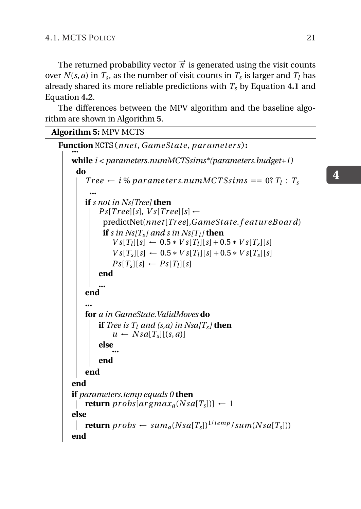The returned probability vector  $\vec{\pi}$  is generated using the visit counts over  $N(s, a)$  in  $T_s$ , as the number of visit counts in  $T_s$  is larger and  $T_l$  has already shared its more reliable predictions with *T<sup>s</sup>* by Equation **[4.1](#page-26-0)** and Equation **[4.2](#page-26-1)**.

The differences between the MPV algorithm and the baseline algorithm are shown in Algorithm **[5](#page-27-1)**.

```
Algorithm 5: MPV MCTS
```

```
Function MCTS(nnet, GameState, parameters):<br>|......
   while i < parameters.numMCTSsims*(parameters.budget+1)
     do
        Tree \leftarrow i\% parameters. numMCTSsims = 0? T_l : T_s...
        if s not in Ns[Tree] then
             Ps[Tree][s], Vs[Tree][s] \leftarrowpredictNet(nne t[Tr ee],GameSt ate.f eatur eB oard)
              if s in Ns[T_s] and s in Ns[T_l] then
                 Vs[T<sub>l</sub>][s] ← 0.5 * V s[T<sub>l</sub>][s] + 0.5 * V s[T<sub>s</sub>][s]
                 Vs[T<sub>s</sub>][s] ← 0.5 ∗ V s[T<sub>l</sub>][s] + 0.5 ∗ V s[T<sub>s</sub>][s]
                 Ps[T_s][s] \leftarrow Ps[T_l][s]end
             ...
        end
        ...
        for a in GameState.ValidMoves do
            if Tree is T_l and (s,a) in Nsa/T_sl <b>then
                 u \leftarrow Nsa[T_s][(s,a)]else
                 ...
            end
        end
    end
    if parameters.temp equals 0 then
     | return probs[argmax_a(Nsa[T_s])] \leftarrow 1else
        \textbf{return } probs \leftarrow sum_a(Nsa[T_s])^{1/temp}/sum(Nsa[T_s]))\mathbf{I}end
```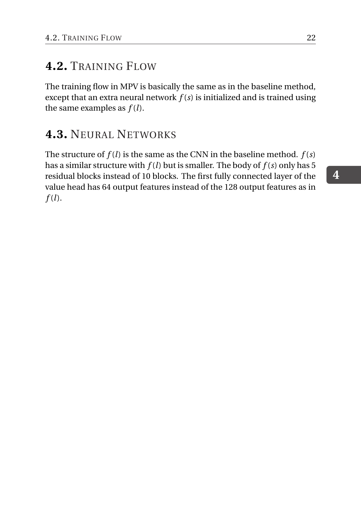#### **4.2.** TRAINING FLOW

The training flow in MPV is basically the same as in the baseline method, except that an extra neural network *f* (*s*) is initialized and is trained using the same examples as  $f(l)$ .

#### <span id="page-28-0"></span>**4.3.** NEURAL NETWORKS

The structure of  $f(l)$  is the same as the CNN in the baseline method.  $f(s)$ has a similar structure with  $f(l)$  but is smaller. The body of  $f(s)$  only has 5 residual blocks instead of 10 blocks. The first fully connected layer of the value head has 64 output features instead of the 128 output features as in *f* (*l*).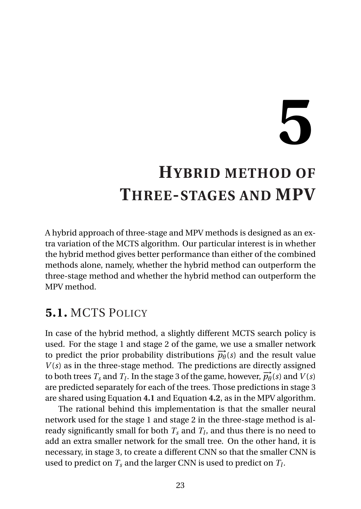# **5**

# <span id="page-29-0"></span>**HYBRID METHOD OF THREE-STAGES AND MPV**

A hybrid approach of three-stage and MPV methods is designed as an extra variation of the MCTS algorithm. Our particular interest is in whether the hybrid method gives better performance than either of the combined methods alone, namely, whether the hybrid method can outperform the three-stage method and whether the hybrid method can outperform the MPV method.

#### <span id="page-29-1"></span>**5.1.** MCTS POLICY

In case of the hybrid method, a slightly different MCTS search policy is used. For the stage 1 and stage 2 of the game, we use a smaller network to predict the prior probability distributions  $\overrightarrow{p_{\theta}}(s)$  and the result value  $V(s)$  as in the three-stage method. The predictions are directly assigned to both trees  $T_s$  and  $T_l$ . In the stage 3 of the game, however,  $\overrightarrow{p_{\theta}}(s)$  and  $V(s)$ are predicted separately for each of the trees. Those predictions in stage 3 are shared using Equation **[4.1](#page-26-0)** and Equation **[4.2](#page-26-1)**, as in the MPV algorithm.

The rational behind this implementation is that the smaller neural network used for the stage 1 and stage 2 in the three-stage method is already significantly small for both  $T_s$  and  $T_l$ , and thus there is no need to add an extra smaller network for the small tree. On the other hand, it is necessary, in stage 3, to create a different CNN so that the smaller CNN is used to predict on *T<sup>s</sup>* and the larger CNN is used to predict on *T<sup>l</sup>* .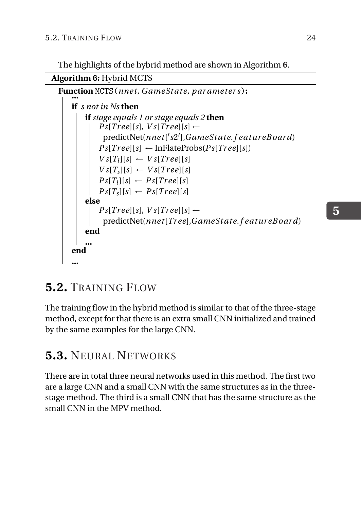The highlights of the hybrid method are shown in Algorithm **[6](#page-30-2)**.

<span id="page-30-2"></span>**Algorithm 6:** Hybrid MCTS



#### <span id="page-30-0"></span>**5.2.** TRAINING FLOW

The training flow in the hybrid method is similar to that of the three-stage method, except for that there is an extra small CNN initialized and trained by the same examples for the large CNN.

#### <span id="page-30-1"></span>**5.3.** NEURAL NETWORKS

There are in total three neural networks used in this method. The first two are a large CNN and a small CNN with the same structures as in the threestage method. The third is a small CNN that has the same structure as the small CNN in the MPV method.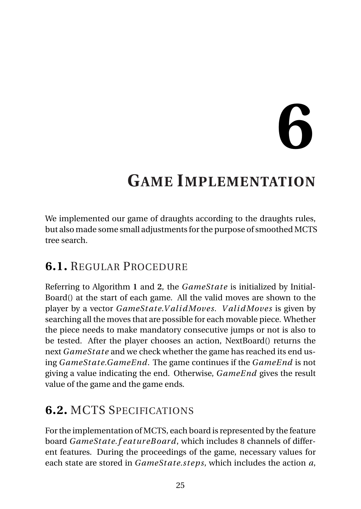# **6**

# <span id="page-31-0"></span>**GAME IMPLEMENTATION**

We implemented our game of draughts according to the draughts rules, but also made some small adjustments for the purpose of smoothed MCTS tree search.

#### <span id="page-31-1"></span>**6.1.** REGULAR PROCEDURE

Referring to Algorithm **[1](#page-15-1)** and **[2](#page-17-0)**, the *GameSt ate* is initialized by Initial-Board() at the start of each game. All the valid moves are shown to the player by a vector *GameSt ate*.*V al i dMoves*. *V al i dMoves* is given by searching all the moves that are possible for each movable piece. Whether the piece needs to make mandatory consecutive jumps or not is also to be tested. After the player chooses an action, NextBoard() returns the next *GameSt ate* and we check whether the game has reached its end using *GameSt ate*.*GameEnd*. The game continues if the *GameEnd* is not giving a value indicating the end. Otherwise, *GameEnd* gives the result value of the game and the game ends.

#### <span id="page-31-2"></span>**6.2.** MCTS SPECIFICATIONS

For the implementation of MCTS, each board is represented by the feature board *GameSt ate*.*f eatur eB oard*, which includes 8 channels of different features. During the proceedings of the game, necessary values for each state are stored in *GameSt ate*.*step s*, which includes the action *a*,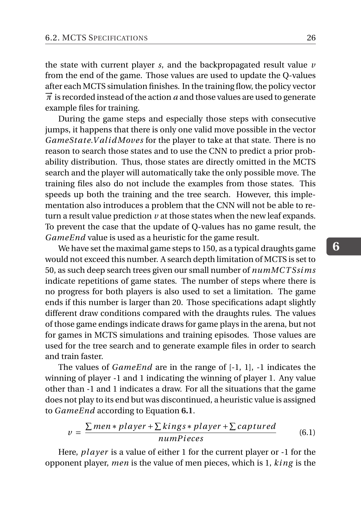the state with current player *s*, and the backpropagated result value *v* from the end of the game. Those values are used to update the Q-values after each MCTS simulation finishes. In the training flow, the policy vector  $\vec{\pi}$  is recorded instead of the action *a* and those values are used to generate example files for training.

During the game steps and especially those steps with consecutive jumps, it happens that there is only one valid move possible in the vector *GameState.ValidMoves* for the player to take at that state. There is no reason to search those states and to use the CNN to predict a prior probability distribution. Thus, those states are directly omitted in the MCTS search and the player will automatically take the only possible move. The training files also do not include the examples from those states. This speeds up both the training and the tree search. However, this implementation also introduces a problem that the CNN will not be able to return a result value prediction  $\nu$  at those states when the new leaf expands. To prevent the case that the update of Q-values has no game result, the *GameEnd* value is used as a heuristic for the game result.

We have set the maximal game steps to 150, as a typical draughts game would not exceed this number. A search depth limitation of MCTS is set to 50, as such deep search trees given our small number of *numMCT Ssims* indicate repetitions of game states. The number of steps where there is no progress for both players is also used to set a limitation. The game ends if this number is larger than 20. Those specifications adapt slightly different draw conditions compared with the draughts rules. The values of those game endings indicate draws for game plays in the arena, but not for games in MCTS simulations and training episodes. Those values are used for the tree search and to generate example files in order to search and train faster.

The values of *GameEnd* are in the range of [-1, 1], -1 indicates the winning of player -1 and 1 indicating the winning of player 1. Any value other than -1 and 1 indicates a draw. For all the situations that the game does not play to its end but was discontinued, a heuristic value is assigned to *GameEnd* according to Equation **[6.1](#page-32-0)**.

<span id="page-32-0"></span>
$$
v = \frac{\sum men * player + \sum kings * player + \sum captured}{numPieces}
$$
(6.1)

Here, *pl ayer* is a value of either 1 for the current player or -1 for the opponent player, *men* is the value of men pieces, which is 1, *king* is the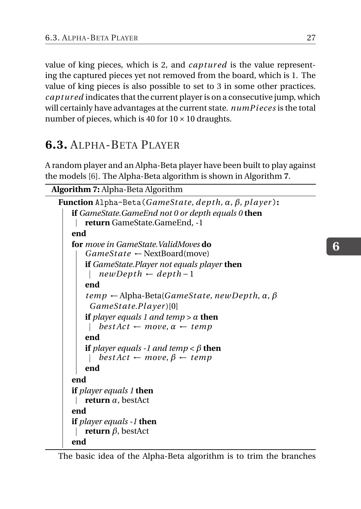value of king pieces, which is 2, and *captured* is the value representing the captured pieces yet not removed from the board, which is 1. The value of king pieces is also possible to set to 3 in some other practices. *cap tur ed* indicates that the current player is on a consecutive jump, which will certainly have advantages at the current state. *numP i eces* is the total number of pieces, which is 40 for  $10 \times 10$  draughts.

#### <span id="page-33-0"></span>**6.3.** ALPHA-BETA PLAYER

A random player and an Alpha-Beta player have been built to play against the models [\[6\]](#page-50-5). The Alpha-Beta algorithm is shown in Algorithm **[7](#page-33-1)**.

```
Algorithm 7: Alpha-Beta Algorithm
 Function Alpha-Beta(GameSt ate, dep th, α, β, pl ayer ):
     if GameState.GameEnd not 0 or depth equals 0 then
      return GameState.GameEnd, -1
     end
     for move in GameState.ValidMoves do
         GameSt ate ← NextBoard(move)
         if GameState.Player not equals player then
          newDep th ← dep th −1
         end
         temp ← Alpha-Beta(GameSt ate, newDep th, α, β
          GameSt ate.P l ayer )[0]
         if <i>layer equals 1 and temp > \alpha then
          \vert best Act \leftarrow move, \alpha \leftarrow tempend
         if player equals -1 and temp < \beta then
          \vert best Act \leftarrow move, \beta \leftarrow temp
         end
     end
     if player equals 1 then
      return α, bestAct
     end
     if player equals -1 then
      return β, bestAct
     end
```
The basic idea of the Alpha-Beta algorithm is to trim the branches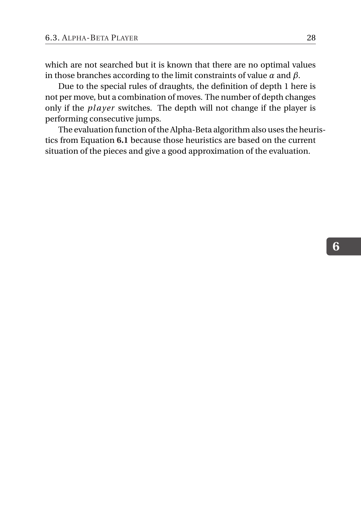which are not searched but it is known that there are no optimal values in those branches according to the limit constraints of value *α* and *β*.

Due to the special rules of draughts, the definition of depth 1 here is not per move, but a combination of moves. The number of depth changes only if the *pl ayer* switches. The depth will not change if the player is performing consecutive jumps.

The evaluation function of the Alpha-Beta algorithm also uses the heuristics from Equation **[6.1](#page-32-0)** because those heuristics are based on the current situation of the pieces and give a good approximation of the evaluation.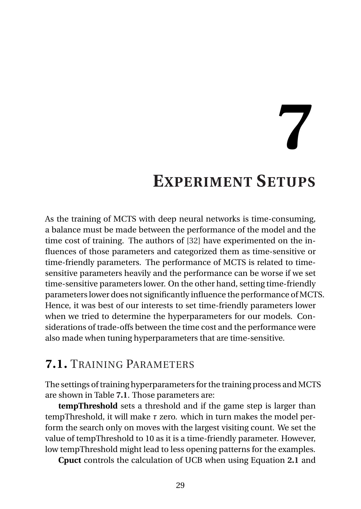**7**

## **EXPERIMENT SETUPS**

<span id="page-35-0"></span>As the training of MCTS with deep neural networks is time-consuming, a balance must be made between the performance of the model and the time cost of training. The authors of [\[32\]](#page-52-8) have experimented on the influences of those parameters and categorized them as time-sensitive or time-friendly parameters. The performance of MCTS is related to timesensitive parameters heavily and the performance can be worse if we set time-sensitive parameters lower. On the other hand, setting time-friendly parameters lower does not significantly influence the performance of MCTS. Hence, it was best of our interests to set time-friendly parameters lower when we tried to determine the hyperparameters for our models. Considerations of trade-offs between the time cost and the performance were also made when tuning hyperparameters that are time-sensitive.

#### <span id="page-35-1"></span>**7.1.** TRAINING PARAMETERS

The settings of training hyperparameters for the training process and MCTS are shown in Table **[7.1](#page-37-0)**. Those parameters are:

**tempThreshold** sets a threshold and if the game step is larger than tempThreshold, it will make *τ* zero. which in turn makes the model perform the search only on moves with the largest visiting count. We set the value of tempThreshold to 10 as it is a time-friendly parameter. However, low tempThreshold might lead to less opening patterns for the examples.

**Cpuct** controls the calculation of UCB when using Equation **[2.1](#page-14-0)** and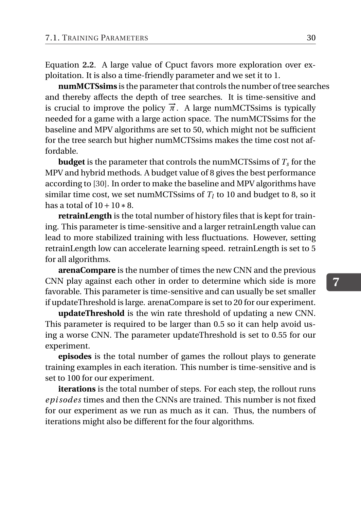Equation **[2.2](#page-14-1)**. A large value of Cpuct favors more exploration over exploitation. It is also a time-friendly parameter and we set it to 1.

**numMCTSsims** is the parameter that controls the number of tree searches and thereby affects the depth of tree searches. It is time-sensitive and is crucial to improve the policy  $\vec{\pi}$ . A large numMCTSsims is typically needed for a game with a large action space. The numMCTSsims for the baseline and MPV algorithms are set to 50, which might not be sufficient for the tree search but higher numMCTSsims makes the time cost not affordable.

**budget** is the parameter that controls the numMCTSsims of *T<sup>s</sup>* for the MPV and hybrid methods. A budget value of 8 gives the best performance according to [\[30\]](#page-52-6). In order to make the baseline and MPV algorithms have similar time cost, we set numMCTSsims of  $T_l$  to 10 and budget to 8, so it has a total of  $10+10*8$ .

**retrainLength** is the total number of history files that is kept for training. This parameter is time-sensitive and a larger retrainLength value can lead to more stabilized training with less fluctuations. However, setting retrainLength low can accelerate learning speed. retrainLength is set to 5 for all algorithms.

**arenaCompare** is the number of times the new CNN and the previous CNN play against each other in order to determine which side is more favorable. This parameter is time-sensitive and can usually be set smaller if updateThreshold is large. arenaCompare is set to 20 for our experiment.

**updateThreshold** is the win rate threshold of updating a new CNN. This parameter is required to be larger than 0.5 so it can help avoid using a worse CNN. The parameter updateThreshold is set to 0.55 for our experiment.

**episodes** is the total number of games the rollout plays to generate training examples in each iteration. This number is time-sensitive and is set to 100 for our experiment.

<span id="page-36-0"></span>**iterations** is the total number of steps. For each step, the rollout runs *epi sodes* times and then the CNNs are trained. This number is not fixed for our experiment as we run as much as it can. Thus, the numbers of iterations might also be different for the four algorithms.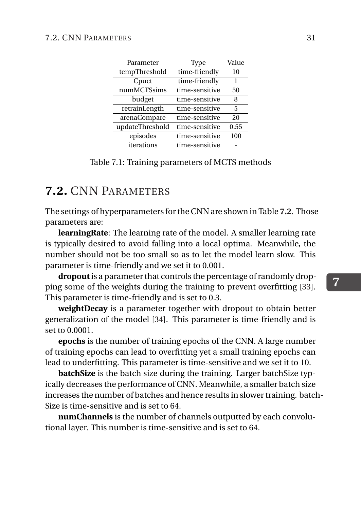<span id="page-37-0"></span>

| Parameter       | Type           | Value |
|-----------------|----------------|-------|
| tempThreshold   | time-friendly  | 10    |
| Cpuct           | time-friendly  | 1     |
| numMCTSsims     | time-sensitive | 50    |
| budget          | time-sensitive | 8     |
| retrainLength   | time-sensitive | 5     |
| arenaCompare    | time-sensitive | 20    |
| updateThreshold | time-sensitive | 0.55  |
| episodes        | time-sensitive | 100   |
| iterations      | time-sensitive |       |

Table 7.1: Training parameters of MCTS methods

#### **7.2.** CNN PARAMETERS

The settings of hyperparameters for the CNN are shown in Table **[7.2](#page-38-0)**. Those parameters are:

**learningRate**: The learning rate of the model. A smaller learning rate is typically desired to avoid falling into a local optima. Meanwhile, the number should not be too small so as to let the model learn slow. This parameter is time-friendly and we set it to 0.001.

**dropout**is a parameter that controls the percentage of randomly dropping some of the weights during the training to prevent overfitting [\[33\]](#page-52-9). This parameter is time-friendly and is set to 0.3.

**weightDecay** is a parameter together with dropout to obtain better generalization of the model [\[34\]](#page-52-10). This parameter is time-friendly and is set to 0.0001.

**epochs** is the number of training epochs of the CNN. A large number of training epochs can lead to overfitting yet a small training epochs can lead to underfitting. This parameter is time-sensitive and we set it to 10.

**batchSize** is the batch size during the training. Larger batchSize typically decreases the performance of CNN. Meanwhile, a smaller batch size increases the number of batches and hence results in slower training. batch-Size is time-sensitive and is set to 64.

**numChannels** is the number of channels outputted by each convolutional layer. This number is time-sensitive and is set to 64.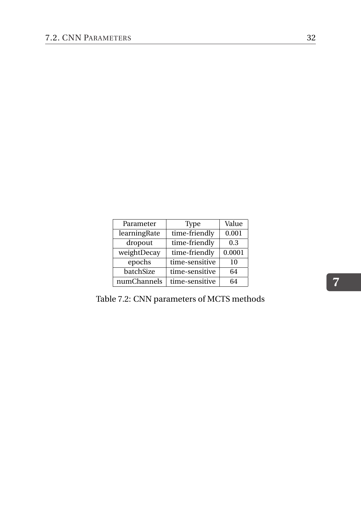<span id="page-38-0"></span>

| Parameter    | Type           | Value  |
|--------------|----------------|--------|
| learningRate | time-friendly  | 0.001  |
| dropout      | time-friendly  | 0.3    |
| weightDecay  | time-friendly  | 0.0001 |
| epochs       | time-sensitive | 10     |
| batchSize    | time-sensitive | 64     |
| numChannels  | time-sensitive | 64     |

Table 7.2: CNN parameters of MCTS methods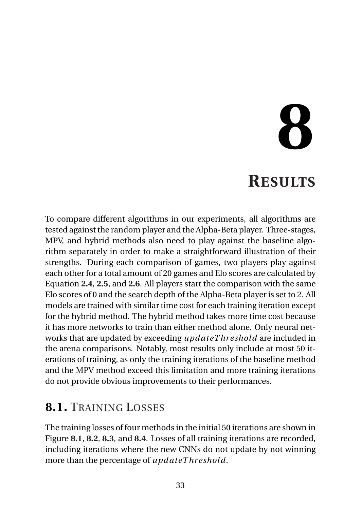# **8 RESULTS**

<span id="page-39-0"></span>To compare different algorithms in our experiments, all algorithms are tested against the random player and the Alpha-Beta player. Three-stages, MPV, and hybrid methods also need to play against the baseline algorithm separately in order to make a straightforward illustration of their strengths. During each comparison of games, two players play against each other for a total amount of 20 games and Elo scores are calculated by Equation **[2.4](#page-16-0)**, **[2.5](#page-16-1)**, and **[2.6](#page-16-2)**. All players start the comparison with the same Elo scores of 0 and the search depth of the Alpha-Beta player is set to 2. All models are trained with similar time cost for each training iteration except for the hybrid method. The hybrid method takes more time cost because it has more networks to train than either method alone. Only neural networks that are updated by exceeding *upd ateT hr eshold* are included in the arena comparisons. Notably, most results only include at most 50 iterations of training, as only the training iterations of the baseline method and the MPV method exceed this limitation and more training iterations do not provide obvious improvements to their performances.

#### <span id="page-39-1"></span>**8.1.** TRAINING LOSSES

The training losses of four methods in the initial 50 iterations are shown in Figure **[8.1](#page-40-1)**, **[8.2](#page-41-0)**, **[8.3](#page-42-0)**, and **[8.4](#page-43-0)**. Losses of all training iterations are recorded, including iterations where the new CNNs do not update by not winning more than the percentage of *upd ateT hr eshold*.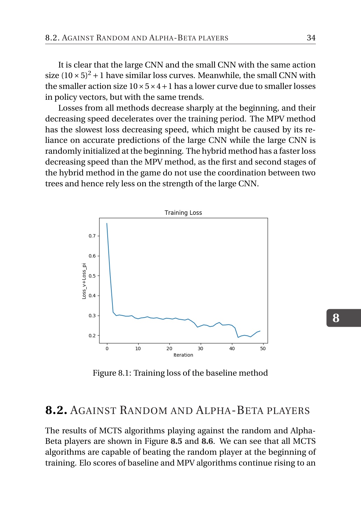It is clear that the large CNN and the small CNN with the same action size  $(10 \times 5)^2 + 1$  have similar loss curves. Meanwhile, the small CNN with the smaller action size  $10 \times 5 \times 4 + 1$  has a lower curve due to smaller losses in policy vectors, but with the same trends.

Losses from all methods decrease sharply at the beginning, and their decreasing speed decelerates over the training period. The MPV method has the slowest loss decreasing speed, which might be caused by its reliance on accurate predictions of the large CNN while the large CNN is randomly initialized at the beginning. The hybrid method has a faster loss decreasing speed than the MPV method, as the first and second stages of the hybrid method in the game do not use the coordination between two trees and hence rely less on the strength of the large CNN.

<span id="page-40-1"></span>

Figure 8.1: Training loss of the baseline method

#### <span id="page-40-0"></span>**8.2.** AGAINST RANDOM AND ALPHA-BETA PLAYERS

The results of MCTS algorithms playing against the random and Alpha-Beta players are shown in Figure **[8.5](#page-44-1)** and **[8.6](#page-45-0)**. We can see that all MCTS algorithms are capable of beating the random player at the beginning of training. Elo scores of baseline and MPV algorithms continue rising to an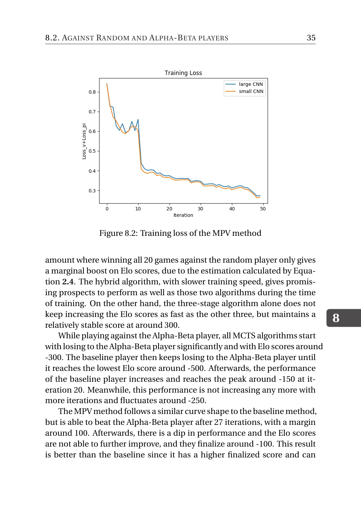<span id="page-41-0"></span>

Figure 8.2: Training loss of the MPV method

amount where winning all 20 games against the random player only gives a marginal boost on Elo scores, due to the estimation calculated by Equation **[2.4](#page-16-0)**. The hybrid algorithm, with slower training speed, gives promising prospects to perform as well as those two algorithms during the time of training. On the other hand, the three-stage algorithm alone does not keep increasing the Elo scores as fast as the other three, but maintains a relatively stable score at around 300.

While playing against the Alpha-Beta player, all MCTS algorithms start with losing to the Alpha-Beta player significantly and with Elo scores around -300. The baseline player then keeps losing to the Alpha-Beta player until it reaches the lowest Elo score around -500. Afterwards, the performance of the baseline player increases and reaches the peak around -150 at iteration 20. Meanwhile, this performance is not increasing any more with more iterations and fluctuates around -250.

The MPV method follows a similar curve shape to the baseline method, but is able to beat the Alpha-Beta player after 27 iterations, with a margin around 100. Afterwards, there is a dip in performance and the Elo scores are not able to further improve, and they finalize around -100. This result is better than the baseline since it has a higher finalized score and can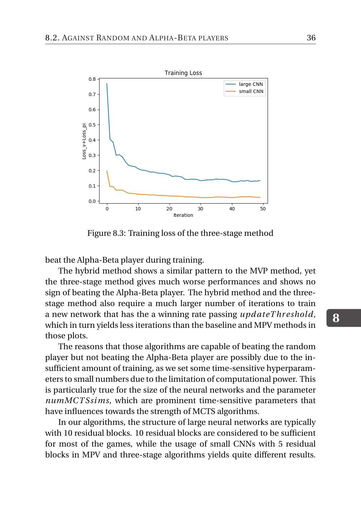<span id="page-42-0"></span>

Figure 8.3: Training loss of the three-stage method

beat the Alpha-Beta player during training.

The hybrid method shows a similar pattern to the MVP method, yet the three-stage method gives much worse performances and shows no sign of beating the Alpha-Beta player. The hybrid method and the threestage method also require a much larger number of iterations to train a new network that has the a winning rate passing *upd ateT hr eshold*, which in turn yields less iterations than the baseline and MPV methods in those plots.

The reasons that those algorithms are capable of beating the random player but not beating the Alpha-Beta player are possibly due to the insufficient amount of training, as we set some time-sensitive hyperparameters to small numbers due to the limitation of computational power. This is particularly true for the size of the neural networks and the parameter *numMCT Ssims*, which are prominent time-sensitive parameters that have influences towards the strength of MCTS algorithms.

In our algorithms, the structure of large neural networks are typically with 10 residual blocks. 10 residual blocks are considered to be sufficient for most of the games, while the usage of small CNNs with 5 residual blocks in MPV and three-stage algorithms yields quite different results.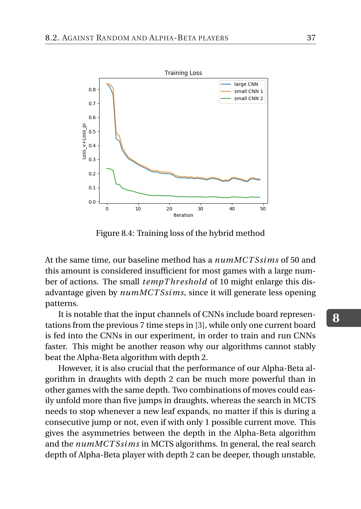<span id="page-43-0"></span>

Figure 8.4: Training loss of the hybrid method

At the same time, our baseline method has a *numMCT Ssims* of 50 and this amount is considered insufficient for most games with a large number of actions. The small *tempT hr eshold* of 10 might enlarge this disadvantage given by *numMCT Ssims*, since it will generate less opening patterns.

It is notable that the input channels of CNNs include board representations from the previous 7 time steps in [\[3\]](#page-50-2), while only one current board is fed into the CNNs in our experiment, in order to train and run CNNs faster. This might be another reason why our algorithms cannot stably beat the Alpha-Beta algorithm with depth 2.

However, it is also crucial that the performance of our Alpha-Beta algorithm in draughts with depth 2 can be much more powerful than in other games with the same depth. Two combinations of moves could easily unfold more than five jumps in draughts, whereas the search in MCTS needs to stop whenever a new leaf expands, no matter if this is during a consecutive jump or not, even if with only 1 possible current move. This gives the asymmetries between the depth in the Alpha-Beta algorithm and the *numMCT Ssims* in MCTS algorithms. In general, the real search depth of Alpha-Beta player with depth 2 can be deeper, though unstable,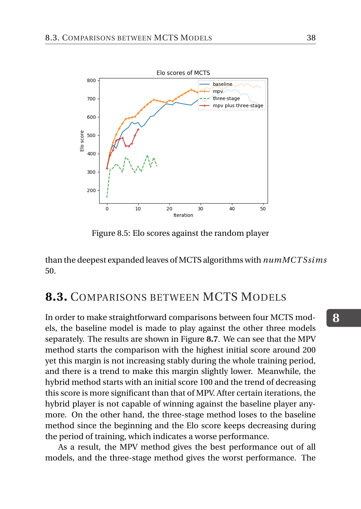<span id="page-44-1"></span>

Figure 8.5: Elo scores against the random player

<span id="page-44-0"></span>than the deepest expanded leaves of MCTS algorithms with *numMCT Ssims* 50.

#### **8.3.** COMPARISONS BETWEEN MCTS MODELS

In order to make straightforward comparisons between four MCTS models, the baseline model is made to play against the other three models separately. The results are shown in Figure **[8.7](#page-46-0)**. We can see that the MPV method starts the comparison with the highest initial score around 200 yet this margin is not increasing stably during the whole training period, and there is a trend to make this margin slightly lower. Meanwhile, the hybrid method starts with an initial score 100 and the trend of decreasing this score is more significant than that of MPV. After certain iterations, the hybrid player is not capable of winning against the baseline player anymore. On the other hand, the three-stage method loses to the baseline method since the beginning and the Elo score keeps decreasing during the period of training, which indicates a worse performance.

As a result, the MPV method gives the best performance out of all models, and the three-stage method gives the worst performance. The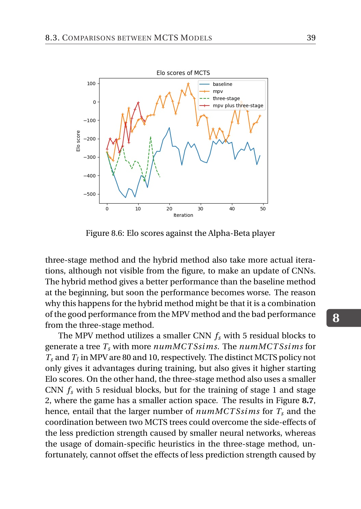<span id="page-45-0"></span>

Figure 8.6: Elo scores against the Alpha-Beta player

three-stage method and the hybrid method also take more actual iterations, although not visible from the figure, to make an update of CNNs. The hybrid method gives a better performance than the baseline method at the beginning, but soon the performance becomes worse. The reason why this happens for the hybrid method might be that it is a combination of the good performance from the MPV method and the bad performance from the three-stage method.

The MPV method utilizes a smaller CNN *f<sup>s</sup>* with 5 residual blocks to generate a tree *T<sup>s</sup>* with more *numMCT Ssims*. The *numMCT Ssims* for  $T_s$  and  $T_l$  in MPV are 80 and 10, respectively. The distinct MCTS policy not only gives it advantages during training, but also gives it higher starting Elo scores. On the other hand, the three-stage method also uses a smaller CNN  $f_s$  with 5 residual blocks, but for the training of stage 1 and stage 2, where the game has a smaller action space. The results in Figure **[8.7](#page-46-0)**, hence, entail that the larger number of *numMCT Ssims* for *T<sup>s</sup>* and the coordination between two MCTS trees could overcome the side-effects of the less prediction strength caused by smaller neural networks, whereas the usage of domain-specific heuristics in the three-stage method, unfortunately, cannot offset the effects of less prediction strength caused by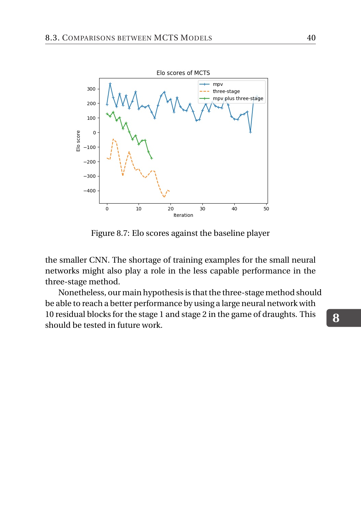<span id="page-46-0"></span>

Figure 8.7: Elo scores against the baseline player

the smaller CNN. The shortage of training examples for the small neural networks might also play a role in the less capable performance in the three-stage method.

Nonetheless, our main hypothesis is that the three-stage method should be able to reach a better performance by using a large neural network with 10 residual blocks for the stage 1 and stage 2 in the game of draughts. This should be tested in future work.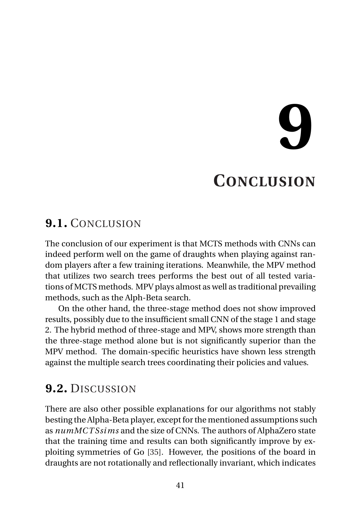# **9**

## **CONCLUSION**

#### <span id="page-47-1"></span><span id="page-47-0"></span>**9.1.** CONCLUSION

The conclusion of our experiment is that MCTS methods with CNNs can indeed perform well on the game of draughts when playing against random players after a few training iterations. Meanwhile, the MPV method that utilizes two search trees performs the best out of all tested variations of MCTS methods. MPV plays almost as well as traditional prevailing methods, such as the Alph-Beta search.

On the other hand, the three-stage method does not show improved results, possibly due to the insufficient small CNN of the stage 1 and stage 2. The hybrid method of three-stage and MPV, shows more strength than the three-stage method alone but is not significantly superior than the MPV method. The domain-specific heuristics have shown less strength against the multiple search trees coordinating their policies and values.

#### <span id="page-47-2"></span>**9.2.** DISCUSSION

There are also other possible explanations for our algorithms not stably besting the Alpha-Beta player, except for the mentioned assumptions such as *numMCT Ssims* and the size of CNNs. The authors of AlphaZero state that the training time and results can both significantly improve by exploiting symmetries of Go [\[35\]](#page-53-0). However, the positions of the board in draughts are not rotationally and reflectionally invariant, which indicates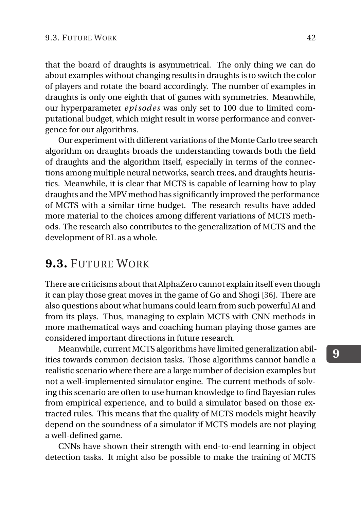that the board of draughts is asymmetrical. The only thing we can do about examples without changing results in draughts is to switch the color of players and rotate the board accordingly. The number of examples in draughts is only one eighth that of games with symmetries. Meanwhile, our hyperparameter *epi sodes* was only set to 100 due to limited computational budget, which might result in worse performance and convergence for our algorithms.

Our experiment with different variations of the Monte Carlo tree search algorithm on draughts broads the understanding towards both the field of draughts and the algorithm itself, especially in terms of the connections among multiple neural networks, search trees, and draughts heuristics. Meanwhile, it is clear that MCTS is capable of learning how to play draughts and the MPV method has significantly improved the performance of MCTS with a similar time budget. The research results have added more material to the choices among different variations of MCTS methods. The research also contributes to the generalization of MCTS and the development of RL as a whole.

#### <span id="page-48-0"></span>**9.3.** FUTURE WORK

There are criticisms about that AlphaZero cannot explain itself even though it can play those great moves in the game of Go and Shogi [\[36\]](#page-53-1). There are also questions about what humans could learn from such powerful AI and from its plays. Thus, managing to explain MCTS with CNN methods in more mathematical ways and coaching human playing those games are considered important directions in future research.

Meanwhile, current MCTS algorithms have limited generalization abilities towards common decision tasks. Those algorithms cannot handle a realistic scenario where there are a large number of decision examples but not a well-implemented simulator engine. The current methods of solving this scenario are often to use human knowledge to find Bayesian rules from empirical experience, and to build a simulator based on those extracted rules. This means that the quality of MCTS models might heavily depend on the soundness of a simulator if MCTS models are not playing a well-defined game.

CNNs have shown their strength with end-to-end learning in object detection tasks. It might also be possible to make the training of MCTS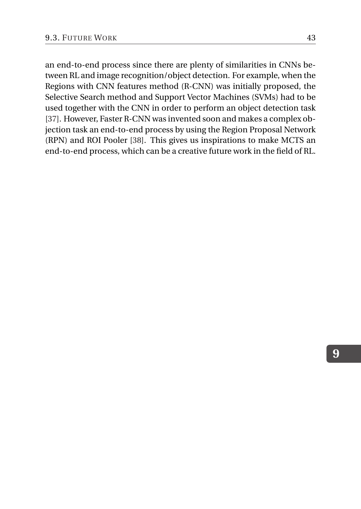an end-to-end process since there are plenty of similarities in CNNs between RL and image recognition/object detection. For example, when the Regions with CNN features method (R-CNN) was initially proposed, the Selective Search method and Support Vector Machines (SVMs) had to be used together with the CNN in order to perform an object detection task [\[37\]](#page-53-2). However, Faster R-CNN was invented soon and makes a complex objection task an end-to-end process by using the Region Proposal Network (RPN) and ROI Pooler [\[38\]](#page-53-3). This gives us inspirations to make MCTS an end-to-end process, which can be a creative future work in the field of RL.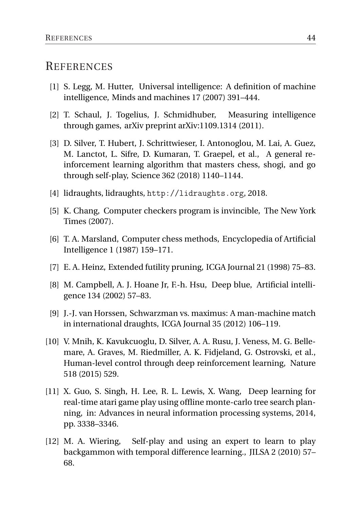#### **REFERENCES**

- <span id="page-50-0"></span>[1] S. Legg, M. Hutter, Universal intelligence: A definition of machine intelligence, Minds and machines 17 (2007) 391–444.
- <span id="page-50-1"></span>[2] T. Schaul, J. Togelius, J. Schmidhuber, Measuring intelligence through games, arXiv preprint arXiv:1109.1314 (2011).
- <span id="page-50-2"></span>[3] D. Silver, T. Hubert, J. Schrittwieser, I. Antonoglou, M. Lai, A. Guez, M. Lanctot, L. Sifre, D. Kumaran, T. Graepel, et al., A general reinforcement learning algorithm that masters chess, shogi, and go through self-play, Science 362 (2018) 1140–1144.
- <span id="page-50-3"></span>[4] lidraughts, lidraughts, <http://lidraughts.org>, 2018.
- <span id="page-50-4"></span>[5] K. Chang, Computer checkers program is invincible, The New York Times (2007).
- <span id="page-50-5"></span>[6] T. A. Marsland, Computer chess methods, Encyclopedia of Artificial Intelligence 1 (1987) 159–171.
- <span id="page-50-6"></span>[7] E. A. Heinz, Extended futility pruning, ICGA Journal 21 (1998) 75–83.
- <span id="page-50-7"></span>[8] M. Campbell, A. J. Hoane Jr, F.-h. Hsu, Deep blue, Artificial intelligence 134 (2002) 57–83.
- <span id="page-50-8"></span>[9] J.-J. van Horssen, Schwarzman vs. maximus: A man-machine match in international draughts, ICGA Journal 35 (2012) 106–119.
- <span id="page-50-9"></span>[10] V. Mnih, K. Kavukcuoglu, D. Silver, A. A. Rusu, J. Veness, M. G. Bellemare, A. Graves, M. Riedmiller, A. K. Fidjeland, G. Ostrovski, et al., Human-level control through deep reinforcement learning, Nature 518 (2015) 529.
- <span id="page-50-10"></span>[11] X. Guo, S. Singh, H. Lee, R. L. Lewis, X. Wang, Deep learning for real-time atari game play using offline monte-carlo tree search planning, in: Advances in neural information processing systems, 2014, pp. 3338–3346.
- <span id="page-50-11"></span>[12] M. A. Wiering, Self-play and using an expert to learn to play backgammon with temporal difference learning., JILSA 2 (2010) 57– 68.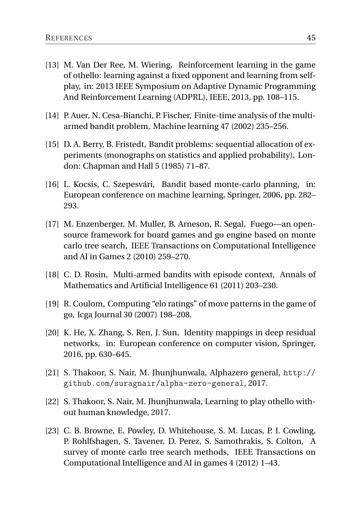- <span id="page-51-0"></span>[13] M. Van Der Ree, M. Wiering, Reinforcement learning in the game of othello: learning against a fixed opponent and learning from selfplay, in: 2013 IEEE Symposium on Adaptive Dynamic Programming And Reinforcement Learning (ADPRL), IEEE, 2013, pp. 108–115.
- <span id="page-51-1"></span>[14] P. Auer, N. Cesa-Bianchi, P. Fischer, Finite-time analysis of the multiarmed bandit problem, Machine learning 47 (2002) 235–256.
- <span id="page-51-2"></span>[15] D. A. Berry, B. Fristedt, Bandit problems: sequential allocation of experiments (monographs on statistics and applied probability), London: Chapman and Hall 5 (1985) 71–87.
- <span id="page-51-3"></span>[16] L. Kocsis, C. Szepesvári, Bandit based monte-carlo planning, in: European conference on machine learning, Springer, 2006, pp. 282– 293.
- <span id="page-51-4"></span>[17] M. Enzenberger, M. Muller, B. Arneson, R. Segal, Fuego—an opensource framework for board games and go engine based on monte carlo tree search, IEEE Transactions on Computational Intelligence and AI in Games 2 (2010) 259–270.
- <span id="page-51-5"></span>[18] C. D. Rosin, Multi-armed bandits with episode context, Annals of Mathematics and Artificial Intelligence 61 (2011) 203–230.
- <span id="page-51-6"></span>[19] R. Coulom, Computing "elo ratings" of move patterns in the game of go, Icga Journal 30 (2007) 198–208.
- <span id="page-51-7"></span>[20] K. He, X. Zhang, S. Ren, J. Sun, Identity mappings in deep residual networks, in: European conference on computer vision, Springer, 2016, pp. 630–645.
- <span id="page-51-8"></span>[21] S. Thakoor, S. Nair, M. Jhunjhunwala, Alphazero general, [http://](http://github.com/suragnair/alpha-zero-general) [github.com/suragnair/alpha-zero-general](http://github.com/suragnair/alpha-zero-general), 2017.
- <span id="page-51-9"></span>[22] S. Thakoor, S. Nair, M. Jhunjhunwala, Learning to play othello without human knowledge, 2017.
- <span id="page-51-10"></span>[23] C. B. Browne, E. Powley, D. Whitehouse, S. M. Lucas, P. I. Cowling, P. Rohlfshagen, S. Tavener, D. Perez, S. Samothrakis, S. Colton, A survey of monte carlo tree search methods, IEEE Transactions on Computational Intelligence and AI in games 4 (2012) 1–43.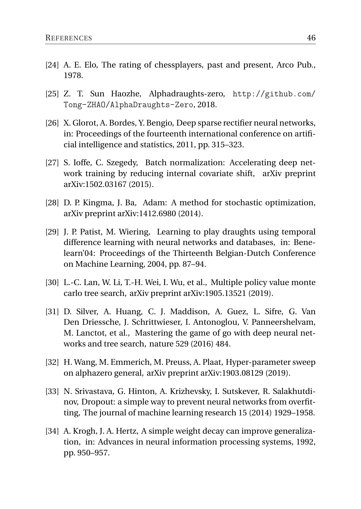- <span id="page-52-0"></span>[24] A. E. Elo, The rating of chessplayers, past and present, Arco Pub., 1978.
- <span id="page-52-1"></span>[25] Z. T. Sun Haozhe, Alphadraughts-zero, [http://github.com/](http://github.com/Tong-ZHAO/AlphaDraughts-Zero) [Tong-ZHAO/AlphaDraughts-Zero](http://github.com/Tong-ZHAO/AlphaDraughts-Zero), 2018.
- <span id="page-52-2"></span>[26] X. Glorot, A. Bordes, Y. Bengio, Deep sparse rectifier neural networks, in: Proceedings of the fourteenth international conference on artificial intelligence and statistics, 2011, pp. 315–323.
- <span id="page-52-3"></span>[27] S. Ioffe, C. Szegedy, Batch normalization: Accelerating deep network training by reducing internal covariate shift, arXiv preprint arXiv:1502.03167 (2015).
- <span id="page-52-4"></span>[28] D. P. Kingma, J. Ba, Adam: A method for stochastic optimization, arXiv preprint arXiv:1412.6980 (2014).
- <span id="page-52-5"></span>[29] J. P. Patist, M. Wiering, Learning to play draughts using temporal difference learning with neural networks and databases, in: Benelearn'04: Proceedings of the Thirteenth Belgian-Dutch Conference on Machine Learning, 2004, pp. 87–94.
- <span id="page-52-6"></span>[30] L.-C. Lan, W. Li, T.-H. Wei, I. Wu, et al., Multiple policy value monte carlo tree search, arXiv preprint arXiv:1905.13521 (2019).
- <span id="page-52-7"></span>[31] D. Silver, A. Huang, C. J. Maddison, A. Guez, L. Sifre, G. Van Den Driessche, J. Schrittwieser, I. Antonoglou, V. Panneershelvam, M. Lanctot, et al., Mastering the game of go with deep neural networks and tree search, nature 529 (2016) 484.
- <span id="page-52-8"></span>[32] H. Wang, M. Emmerich, M. Preuss, A. Plaat, Hyper-parameter sweep on alphazero general, arXiv preprint arXiv:1903.08129 (2019).
- <span id="page-52-9"></span>[33] N. Srivastava, G. Hinton, A. Krizhevsky, I. Sutskever, R. Salakhutdinov, Dropout: a simple way to prevent neural networks from overfitting, The journal of machine learning research 15 (2014) 1929–1958.
- <span id="page-52-10"></span>[34] A. Krogh, J. A. Hertz, A simple weight decay can improve generalization, in: Advances in neural information processing systems, 1992, pp. 950–957.